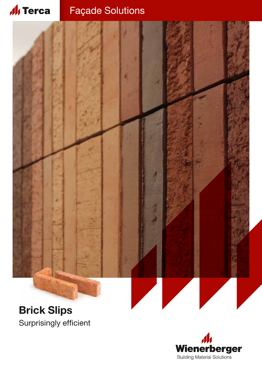#### **Al** Terca Façade Solutions



# **Brick Slips** Surprisingly efficient

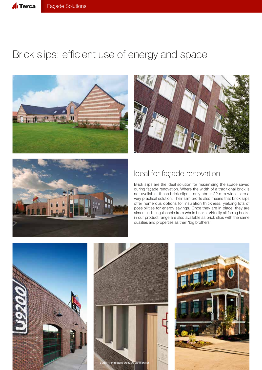

# Brick slips: efficient use of energy and space







### Ideal for façade renovation

Brick slips are the ideal solution for maximising the space saved during façade renovation. Where the width of a traditional brick is not available, these brick slips – only about 22 mm wide – are a very practical solution. Their slim profile also means that brick slips offer numerous options for insulation thickness, yielding lots of possibilities for energy savings. Once they are in place, they are almost indistinguishable from whole bricks. Virtually all facing bricks in our product range are also available as brick slips with the same qualities and properties as their 'big brothers'.

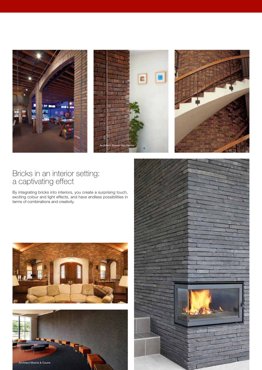

#### Bricks in an interior setting: a captivating effect

By integrating bricks into interiors, you create a surprising touch, exciting colour and light effects, and have endless possibilities in terms of combinations and creativity.





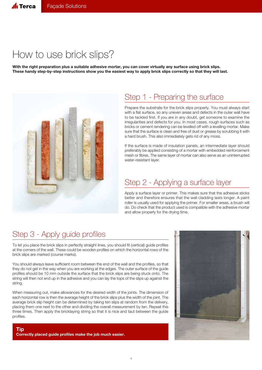# How to use brick slips?

**With the right preparation plus a suitable adhesive mortar, you can cover virtually any surface using brick slips. These handy step-by-step instructions show you the easiest way to apply brick slips correctly so that they will last.**



### Step 1 - Preparing the surface

Prepare the substrate for the brick slips properly. You must always start with a flat surface, so any uneven areas and defects in the outer wall have to be tackled first. If you are in any doubt, get someone to examine the irregularities and defects for you. In most cases, rough surfaces such as bricks or cement rendering can be levelled off with a levelling mortar. Make sure that the surface is clean and free of dust or grease by scrubbing it with a hard brush. This also immediately gets rid of any moss.

If the surface is made of insulation panels, an intermediate layer should preferably be applied consisting of a mortar with embedded reinforcement mesh or fibres. The same layer of mortar can also serve as an uninterrupted water-resistant layer.

### Step 2 - Applying a surface layer

Apply a surface layer or primer. This makes sure that the adhesive sticks better and therefore ensures that the wall cladding lasts longer. A paint roller is usually used for applying the primer. For smaller areas, a brush will do. Do check that the product used is compatible with the adhesive mortar and allow properly for the drying time.

## Step 3 - Apply guide profiles

To let you place the brick slips in perfectly straight lines, you should fit (vertical) guide profiles at the corners of the wall. These could be wooden profiles on which the horizontal rows of the brick slips are marked (course marks).

You should always leave sufficient room between the end of the wall and the profiles, so that they do not get in the way when you are working at the edges. The outer surface of the guide profiles should be 10 mm outside the surface that the brick slips are being stuck onto. The string will then not end up in the adhesive and you can lay the tops of the slips up against the string.

When measuring out, make allowances for the desired width of the joints. The dimension of each horizontal row is then the average height of the brick slips plus the width of the joint. The average brick slip height can be determined by taking ten slips at random from the delivery, placing them one next to the other and dividing the overall measurement by ten. Repeat this three times. Then apply the bricklaying string so that it is nice and taut between the guide profiles.

**Tip Correctly placed guide profiles make the job much easier.**

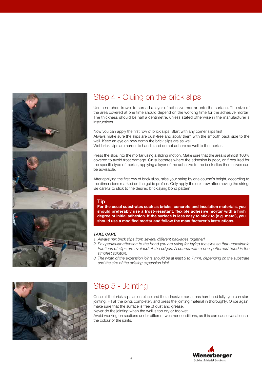

## Step 4 - Gluing on the brick slips

Use a notched trowel to spread a layer of adhesive mortar onto the surface. The size of the area covered at one time should depend on the working time for the adhesive mortar. The thickness should be half a centimetre, unless stated otherwise in the manufacturer's instructions.

Now you can apply the first row of brick slips. Start with any corner slips first. Always make sure the slips are dust-free and apply them with the smooth back side to the wall. Keep an eye on how damp the brick slips are as well. Wet brick slips are harder to handle and do not adhere so well to the mortar.

Press the slips into the mortar using a sliding motion. Make sure that the area is almost 100% covered to avoid frost damage. On substrates where the adhesion is poor, or if required for the specific type of mortar, applying a layer of the adhesive to the brick slips themselves can be advisable.

After applying the first row of brick slips, raise your string by one course's height, according to the dimensions marked on the guide profiles. Only apply the next row after moving the string. Be careful to stick to the desired bricklaying bond pattern.

#### **Tip**

**For the usual substrates such as bricks, concrete and insulation materials, you should preferably use a frost-resistant, flexible adhesive mortar with a high degree of initial adhesion. If the surface is less easy to stick to (e.g. metal), you should use a modified mortar and follow the manufacturer's instructions.**

#### *TAKE CARE*

- *1. Always mix brick slips from several different packages together!*
- *2. Pay particular attention to the bond you are using for laying the slips so that undesirable fractions of slips are avoided at the edges. A course with a non-patterned bond is the simplest solution.*
- *3. The width of the expansion joints should be at least 5 to 7 mm, depending on the substrate and the size of the existing expansion joint.*



## Step 5 - Jointing

Once all the brick slips are in place and the adhesive mortar has hardened fully, you can start jointing. Fill all the joints completely and press the jointing material in thoroughly. Once again, make sure that the surface is free of dust and grease.

Never do the jointing when the wall is too dry or too wet.

Avoid working on sections under different weather conditions, as this can cause variations in the colour of the joints.

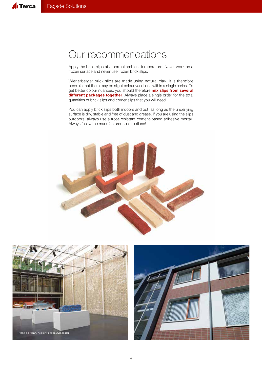# Our recommendations

Apply the brick slips at a normal ambient temperature. Never work on a frozen surface and never use frozen brick slips.

Wienerberger brick slips are made using natural clay. It is therefore possible that there may be slight colour variations within a single series. To get better colour nuances, you should therefore **mix slips from several different packages together**. Always place a single order for the total quantities of brick slips and corner slips that you will need.

You can apply brick slips both indoors and out, as long as the underlying surface is dry, stable and free of dust and grease. If you are using the slips outdoors, always use a frost-resistant cement-based adhesive mortar. Always follow the manufacturer's instructions!





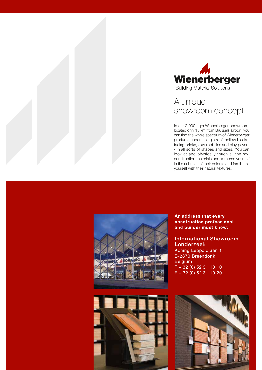



### A unique showroom concept

In our 2,000 sqm Wienerberger showroom, located only 15 km from Brussels airport, you can find the whole spectrum of Wienerberger products under a single roof: hollow blocks, facing bricks, clay roof tiles and clay pavers - in all sorts of shapes and sizes. You can look at and physically touch all the raw construction materials and immerse yourself in the richness of their colours and familiarize yourself with their natural textures.





**An address that every construction professional and builder must know:**

International Showroom Londerzeel: Koning Leopoldlaan 1 B-2870 Breendonk Belgium  $T + 32 (0) 52 31 10 10$ F + 32 (0) 52 31 10 20